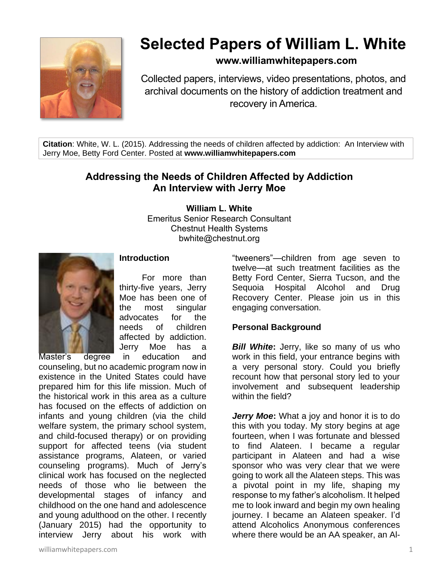

# **Selected Papers of William L. White**

# **www.williamwhitepapers.com**

Collected papers, interviews, video presentations, photos, and archival documents on the history of addiction treatment and recovery in America.

**Citation**: White, W. L. (2015). Addressing the needs of children affected by addiction: An Interview with Jerry Moe, Betty Ford Center. Posted at **www.williamwhitepapers.com**

# **Addressing the Needs of Children Affected by Addiction An Interview with Jerry Moe**

**William L. White**

Emeritus Senior Research Consultant Chestnut Health Systems bwhite@chestnut.org



## **Introduction**

For more than thirty-five years, Jerry Moe has been one of the most singular advocates for the needs of children affected by addiction. Jerry Moe has a

Master's degree in education and counseling, but no academic program now in existence in the United States could have prepared him for this life mission. Much of the historical work in this area as a culture has focused on the effects of addiction on infants and young children (via the child welfare system, the primary school system, and child-focused therapy) or on providing support for affected teens (via student assistance programs, Alateen, or varied counseling programs). Much of Jerry's clinical work has focused on the neglected needs of those who lie between the developmental stages of infancy and childhood on the one hand and adolescence and young adulthood on the other. I recently (January 2015) had the opportunity to interview Jerry about his work with

"tweeners"—children from age seven to twelve—at such treatment facilities as the Betty Ford Center, Sierra Tucson, and the Sequoia Hospital Alcohol and Drug Recovery Center. Please join us in this engaging conversation.

# **Personal Background**

*Bill White***:** Jerry, like so many of us who work in this field, your entrance begins with a very personal story. Could you briefly recount how that personal story led to your involvement and subsequent leadership within the field?

*Jerry Moe***:** What a joy and honor it is to do this with you today. My story begins at age fourteen, when I was fortunate and blessed to find Alateen. I became a regular participant in Alateen and had a wise sponsor who was very clear that we were going to work all the Alateen steps. This was a pivotal point in my life, shaping my response to my father's alcoholism. It helped me to look inward and begin my own healing journey. I became an Alateen speaker. I'd attend Alcoholics Anonymous conferences where there would be an AA speaker, an Al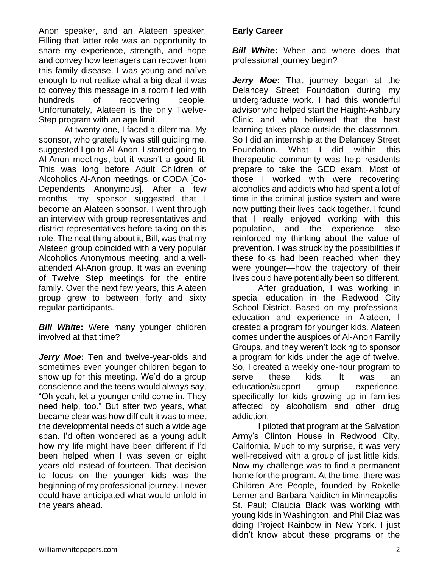Anon speaker, and an Alateen speaker. Filling that latter role was an opportunity to share my experience, strength, and hope and convey how teenagers can recover from this family disease. I was young and naïve enough to not realize what a big deal it was to convey this message in a room filled with hundreds of recovering people. Unfortunately, Alateen is the only Twelve-Step program with an age limit.

At twenty-one, I faced a dilemma. My sponsor, who gratefully was still guiding me, suggested I go to Al-Anon. I started going to Al-Anon meetings, but it wasn't a good fit. This was long before Adult Children of Alcoholics Al-Anon meetings, or CODA [Co-Dependents Anonymous]. After a few months, my sponsor suggested that I become an Alateen sponsor. I went through an interview with group representatives and district representatives before taking on this role. The neat thing about it, Bill, was that my Alateen group coincided with a very popular Alcoholics Anonymous meeting, and a wellattended Al-Anon group. It was an evening of Twelve Step meetings for the entire family. Over the next few years, this Alateen group grew to between forty and sixty regular participants.

*Bill White***:** Were many younger children involved at that time?

*Jerry Moe***:** Ten and twelve-year-olds and sometimes even younger children began to show up for this meeting. We'd do a group conscience and the teens would always say, "Oh yeah, let a younger child come in. They need help, too." But after two years, what became clear was how difficult it was to meet the developmental needs of such a wide age span. I'd often wondered as a young adult how my life might have been different if I'd been helped when I was seven or eight years old instead of fourteen. That decision to focus on the younger kids was the beginning of my professional journey. I never could have anticipated what would unfold in the years ahead.

# **Early Career**

*Bill White***:** When and where does that professional journey begin?

*Jerry Moe***:** That journey began at the Delancey Street Foundation during my undergraduate work. I had this wonderful advisor who helped start the Haight-Ashbury Clinic and who believed that the best learning takes place outside the classroom. So I did an internship at the Delancey Street Foundation. What I did within this therapeutic community was help residents prepare to take the GED exam. Most of those I worked with were recovering alcoholics and addicts who had spent a lot of time in the criminal justice system and were now putting their lives back together. I found that I really enjoyed working with this population, and the experience also reinforced my thinking about the value of prevention. I was struck by the possibilities if these folks had been reached when they were younger—how the trajectory of their lives could have potentially been so different.

After graduation, I was working in special education in the Redwood City School District. Based on my professional education and experience in Alateen, I created a program for younger kids. Alateen comes under the auspices of Al-Anon Family Groups, and they weren't looking to sponsor a program for kids under the age of twelve. So, I created a weekly one-hour program to serve these kids. It was an education/support group experience, specifically for kids growing up in families affected by alcoholism and other drug addiction.

I piloted that program at the Salvation Army's Clinton House in Redwood City, California. Much to my surprise, it was very well-received with a group of just little kids. Now my challenge was to find a permanent home for the program. At the time, there was Children Are People, founded by Rokelle Lerner and Barbara Naiditch in Minneapolis-St. Paul; Claudia Black was working with young kids in Washington, and Phil Diaz was doing Project Rainbow in New York. I just didn't know about these programs or the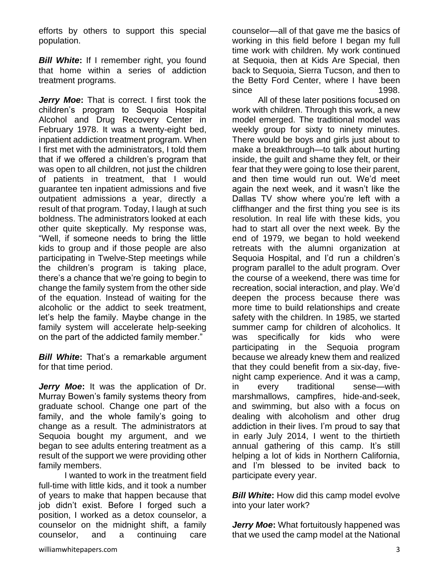efforts by others to support this special population.

**Bill White:** If I remember right, you found that home within a series of addiction treatment programs.

*Jerry Moe***:** That is correct. I first took the children's program to Sequoia Hospital Alcohol and Drug Recovery Center in February 1978. It was a twenty-eight bed, inpatient addiction treatment program. When I first met with the administrators, I told them that if we offered a children's program that was open to all children, not just the children of patients in treatment, that I would guarantee ten inpatient admissions and five outpatient admissions a year, directly a result of that program. Today, I laugh at such boldness. The administrators looked at each other quite skeptically. My response was, "Well, if someone needs to bring the little kids to group and if those people are also participating in Twelve-Step meetings while the children's program is taking place, there's a chance that we're going to begin to change the family system from the other side of the equation. Instead of waiting for the alcoholic or the addict to seek treatment, let's help the family. Maybe change in the family system will accelerate help-seeking on the part of the addicted family member."

*Bill White***:** That's a remarkable argument for that time period.

*Jerry Moe***:** It was the application of Dr. Murray Bowen's family systems theory from graduate school. Change one part of the family, and the whole family's going to change as a result. The administrators at Sequoia bought my argument, and we began to see adults entering treatment as a result of the support we were providing other family members.

I wanted to work in the treatment field full-time with little kids, and it took a number of years to make that happen because that job didn't exist. Before I forged such a position, I worked as a detox counselor, a counselor on the midnight shift, a family counselor, and a continuing care

counselor—all of that gave me the basics of working in this field before I began my full time work with children. My work continued at Sequoia, then at Kids Are Special, then back to Sequoia, Sierra Tucson, and then to the Betty Ford Center, where I have been since 1998.

All of these later positions focused on work with children. Through this work, a new model emerged. The traditional model was weekly group for sixty to ninety minutes. There would be boys and girls just about to make a breakthrough—to talk about hurting inside, the guilt and shame they felt, or their fear that they were going to lose their parent, and then time would run out. We'd meet again the next week, and it wasn't like the Dallas TV show where you're left with a cliffhanger and the first thing you see is its resolution. In real life with these kids, you had to start all over the next week. By the end of 1979, we began to hold weekend retreats with the alumni organization at Sequoia Hospital, and I'd run a children's program parallel to the adult program. Over the course of a weekend, there was time for recreation, social interaction, and play. We'd deepen the process because there was more time to build relationships and create safety with the children. In 1985, we started summer camp for children of alcoholics. It was specifically for kids who were participating in the Sequoia program because we already knew them and realized that they could benefit from a six-day, fivenight camp experience. And it was a camp, in every traditional sense—with marshmallows, campfires, hide-and-seek, and swimming, but also with a focus on dealing with alcoholism and other drug addiction in their lives. I'm proud to say that in early July 2014, I went to the thirtieth annual gathering of this camp. It's still helping a lot of kids in Northern California, and I'm blessed to be invited back to participate every year.

**Bill White:** How did this camp model evolve into your later work?

*Jerry Moe***:** What fortuitously happened was that we used the camp model at the National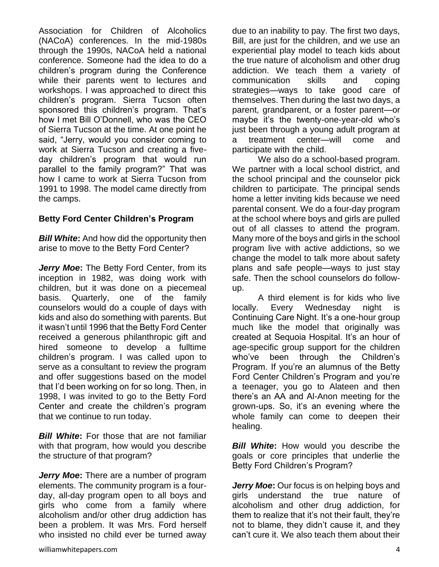Association for Children of Alcoholics (NACoA) conferences. In the mid-1980s through the 1990s, NACoA held a national conference. Someone had the idea to do a children's program during the Conference while their parents went to lectures and workshops. I was approached to direct this children's program. Sierra Tucson often sponsored this children's program. That's how I met Bill O'Donnell, who was the CEO of Sierra Tucson at the time. At one point he said, "Jerry, would you consider coming to work at Sierra Tucson and creating a fiveday children's program that would run parallel to the family program?" That was how I came to work at Sierra Tucson from 1991 to 1998. The model came directly from the camps.

#### **Betty Ford Center Children's Program**

*Bill White***:** And how did the opportunity then arise to move to the Betty Ford Center?

*Jerry Moe***:** The Betty Ford Center, from its inception in 1982, was doing work with children, but it was done on a piecemeal basis. Quarterly, one of the family counselors would do a couple of days with kids and also do something with parents. But it wasn't until 1996 that the Betty Ford Center received a generous philanthropic gift and hired someone to develop a fulltime children's program. I was called upon to serve as a consultant to review the program and offer suggestions based on the model that I'd been working on for so long. Then, in 1998, I was invited to go to the Betty Ford Center and create the children's program that we continue to run today.

*Bill White***:** For those that are not familiar with that program, how would you describe the structure of that program?

*Jerry Moe***:** There are a number of program elements. The community program is a fourday, all-day program open to all boys and girls who come from a family where alcoholism and/or other drug addiction has been a problem. It was Mrs. Ford herself who insisted no child ever be turned away due to an inability to pay. The first two days, Bill, are just for the children, and we use an experiential play model to teach kids about the true nature of alcoholism and other drug addiction. We teach them a variety of communication skills and coping strategies—ways to take good care of themselves. Then during the last two days, a parent, grandparent, or a foster parent—or maybe it's the twenty-one-year-old who's just been through a young adult program at a treatment center—will come and participate with the child.

We also do a school-based program. We partner with a local school district, and the school principal and the counselor pick children to participate. The principal sends home a letter inviting kids because we need parental consent. We do a four-day program at the school where boys and girls are pulled out of all classes to attend the program. Many more of the boys and girls in the school program live with active addictions, so we change the model to talk more about safety plans and safe people—ways to just stay safe. Then the school counselors do followup.

A third element is for kids who live locally. Every Wednesday night is Continuing Care Night. It's a one-hour group much like the model that originally was created at Sequoia Hospital. It's an hour of age-specific group support for the children who've been through the Children's Program. If you're an alumnus of the Betty Ford Center Children's Program and you're a teenager, you go to Alateen and then there's an AA and Al-Anon meeting for the grown-ups. So, it's an evening where the whole family can come to deepen their healing.

*Bill White*: How would you describe the goals or core principles that underlie the Betty Ford Children's Program?

*Jerry Moe***:** Our focus is on helping boys and girls understand the true nature of alcoholism and other drug addiction, for them to realize that it's not their fault, they're not to blame, they didn't cause it, and they can't cure it. We also teach them about their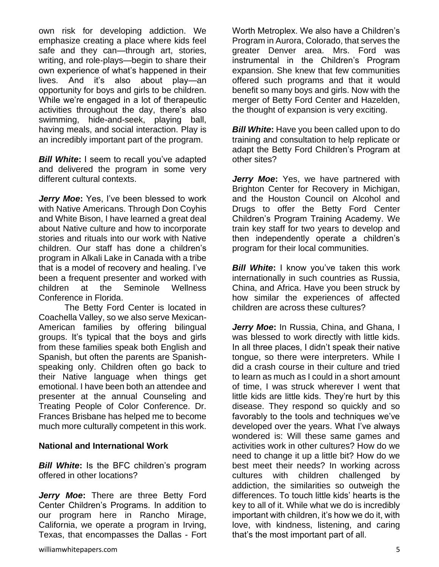own risk for developing addiction. We emphasize creating a place where kids feel safe and they can—through art, stories, writing, and role-plays—begin to share their own experience of what's happened in their lives. And it's also about play—an opportunity for boys and girls to be children. While we're engaged in a lot of therapeutic activities throughout the day, there's also swimming, hide-and-seek, playing ball, having meals, and social interaction. Play is an incredibly important part of the program.

*Bill White***:** I seem to recall you've adapted and delivered the program in some very different cultural contexts.

*Jerry Moe***:** Yes, I've been blessed to work with Native Americans. Through Don Coyhis and White Bison, I have learned a great deal about Native culture and how to incorporate stories and rituals into our work with Native children. Our staff has done a children's program in Alkali Lake in Canada with a tribe that is a model of recovery and healing. I've been a frequent presenter and worked with children at the Seminole Wellness Conference in Florida.

The Betty Ford Center is located in Coachella Valley, so we also serve Mexican-American families by offering bilingual groups. It's typical that the boys and girls from these families speak both English and Spanish, but often the parents are Spanishspeaking only. Children often go back to their Native language when things get emotional. I have been both an attendee and presenter at the annual Counseling and Treating People of Color Conference. Dr. Frances Brisbane has helped me to become much more culturally competent in this work.

#### **National and International Work**

*Bill White***:** Is the BFC children's program offered in other locations?

*Jerry Moe***:** There are three Betty Ford Center Children's Programs. In addition to our program here in Rancho Mirage, California, we operate a program in Irving, Texas, that encompasses the Dallas - Fort Worth Metroplex. We also have a Children's Program in Aurora, Colorado, that serves the greater Denver area. Mrs. Ford was instrumental in the Children's Program expansion. She knew that few communities offered such programs and that it would benefit so many boys and girls. Now with the merger of Betty Ford Center and Hazelden, the thought of expansion is very exciting.

**Bill White:** Have you been called upon to do training and consultation to help replicate or adapt the Betty Ford Children's Program at other sites?

*Jerry Moe***:** Yes, we have partnered with Brighton Center for Recovery in Michigan, and the Houston Council on Alcohol and Drugs to offer the Betty Ford Center Children's Program Training Academy. We train key staff for two years to develop and then independently operate a children's program for their local communities.

*Bill White***:** I know you've taken this work internationally in such countries as Russia, China, and Africa. Have you been struck by how similar the experiences of affected children are across these cultures?

*Jerry Moe***:** In Russia, China, and Ghana, I was blessed to work directly with little kids. In all three places, I didn't speak their native tongue, so there were interpreters. While I did a crash course in their culture and tried to learn as much as I could in a short amount of time, I was struck wherever I went that little kids are little kids. They're hurt by this disease. They respond so quickly and so favorably to the tools and techniques we've developed over the years. What I've always wondered is: Will these same games and activities work in other cultures? How do we need to change it up a little bit? How do we best meet their needs? In working across cultures with children challenged by addiction, the similarities so outweigh the differences. To touch little kids' hearts is the key to all of it. While what we do is incredibly important with children, it's how we do it, with love, with kindness, listening, and caring that's the most important part of all.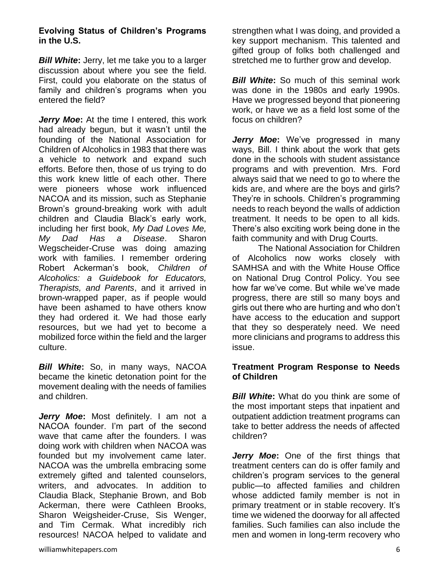*Bill White***:** Jerry, let me take you to a larger discussion about where you see the field. First, could you elaborate on the status of family and children's programs when you entered the field?

*Jerry Moe:* At the time I entered, this work had already begun, but it wasn't until the founding of the National Association for Children of Alcoholics in 1983 that there was a vehicle to network and expand such efforts. Before then, those of us trying to do this work knew little of each other. There were pioneers whose work influenced NACOA and its mission, such as Stephanie Brown's ground-breaking work with adult children and Claudia Black's early work, including her first book, *My Dad Loves Me, My Dad Has a Disease*. Sharon Wegscheider-Cruse was doing amazing work with families. I remember ordering Robert Ackerman's book, *Children of Alcoholics: a Guidebook for Educators, Therapists, and Parents*, and it arrived in brown-wrapped paper, as if people would have been ashamed to have others know they had ordered it. We had those early resources, but we had yet to become a mobilized force within the field and the larger culture.

*Bill White***:** So, in many ways, NACOA became the kinetic detonation point for the movement dealing with the needs of families and children.

*Jerry Moe***:** Most definitely. I am not a NACOA founder. I'm part of the second wave that came after the founders. I was doing work with children when NACOA was founded but my involvement came later. NACOA was the umbrella embracing some extremely gifted and talented counselors, writers, and advocates. In addition to Claudia Black, Stephanie Brown, and Bob Ackerman, there were Cathleen Brooks, Sharon Weigsheider-Cruse, Sis Wenger, and Tim Cermak. What incredibly rich resources! NACOA helped to validate and

*Bill White:* So much of this seminal work was done in the 1980s and early 1990s. Have we progressed beyond that pioneering work, or have we as a field lost some of the focus on children?

*Jerry Moe***:** We've progressed in many ways, Bill. I think about the work that gets done in the schools with student assistance programs and with prevention. Mrs. Ford always said that we need to go to where the kids are, and where are the boys and girls? They're in schools. Children's programming needs to reach beyond the walls of addiction treatment. It needs to be open to all kids. There's also exciting work being done in the faith community and with Drug Courts.

The National Association for Children of Alcoholics now works closely with SAMHSA and with the White House Office on National Drug Control Policy. You see how far we've come. But while we've made progress, there are still so many boys and girls out there who are hurting and who don't have access to the education and support that they so desperately need. We need more clinicians and programs to address this issue.

#### **Treatment Program Response to Needs of Children**

*Bill White:* What do you think are some of the most important steps that inpatient and outpatient addiction treatment programs can take to better address the needs of affected children?

*Jerry Moe***:** One of the first things that treatment centers can do is offer family and children's program services to the general public—to affected families and children whose addicted family member is not in primary treatment or in stable recovery. It's time we widened the doorway for all affected families. Such families can also include the men and women in long-term recovery who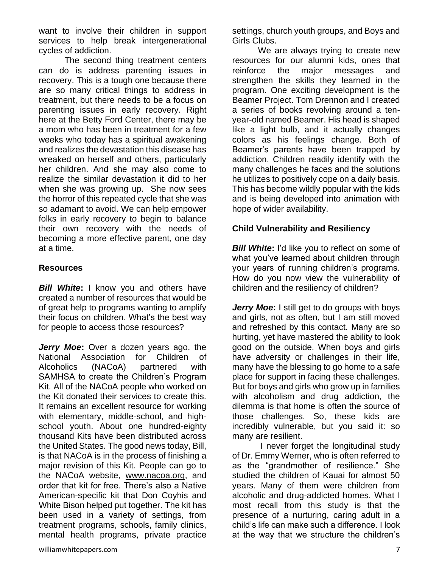want to involve their children in support services to help break intergenerational cycles of addiction.

The second thing treatment centers can do is address parenting issues in recovery. This is a tough one because there are so many critical things to address in treatment, but there needs to be a focus on parenting issues in early recovery. Right here at the Betty Ford Center, there may be a mom who has been in treatment for a few weeks who today has a spiritual awakening and realizes the devastation this disease has wreaked on herself and others, particularly her children. And she may also come to realize the similar devastation it did to her when she was growing up. She now sees the horror of this repeated cycle that she was so adamant to avoid. We can help empower folks in early recovery to begin to balance their own recovery with the needs of becoming a more effective parent, one day at a time.

#### **Resources**

*Bill White***:** I know you and others have created a number of resources that would be of great help to programs wanting to amplify their focus on children. What's the best way for people to access those resources?

*Jerry Moe***:** Over a dozen years ago, the National Association for Children of Alcoholics (NACoA) partnered with SAMHSA to create the Children's Program Kit. All of the NACoA people who worked on the Kit donated their services to create this. It remains an excellent resource for working with elementary, middle-school, and highschool youth. About one hundred-eighty thousand Kits have been distributed across the United States. The good news today, Bill, is that NACoA is in the process of finishing a major revision of this Kit. People can go to the NACoA website, [www.nacoa.org,](http://www.nacoa.org/) and order that kit for free. There's also a Native American-specific kit that Don Coyhis and White Bison helped put together. The kit has been used in a variety of settings, from treatment programs, schools, family clinics, mental health programs, private practice

We are always trying to create new resources for our alumni kids, ones that reinforce the major messages and strengthen the skills they learned in the program. One exciting development is the Beamer Project. Tom Drennon and I created a series of books revolving around a tenyear-old named Beamer. His head is shaped like a light bulb, and it actually changes colors as his feelings change. Both of Beamer's parents have been trapped by addiction. Children readily identify with the many challenges he faces and the solutions he utilizes to positively cope on a daily basis. This has become wildly popular with the kids and is being developed into animation with hope of wider availability.

## **Child Vulnerability and Resiliency**

**Bill White:** I'd like you to reflect on some of what you've learned about children through your years of running children's programs. How do you now view the vulnerability of children and the resiliency of children?

*Jerry Moe:* I still get to do groups with boys and girls, not as often, but I am still moved and refreshed by this contact. Many are so hurting, yet have mastered the ability to look good on the outside. When boys and girls have adversity or challenges in their life, many have the blessing to go home to a safe place for support in facing these challenges. But for boys and girls who grow up in families with alcoholism and drug addiction, the dilemma is that home is often the source of those challenges. So, these kids are incredibly vulnerable, but you said it: so many are resilient.

I never forget the longitudinal study of Dr. Emmy Werner, who is often referred to as the "grandmother of resilience." She studied the children of Kauai for almost 50 years. Many of them were children from alcoholic and drug-addicted homes. What I most recall from this study is that the presence of a nurturing, caring adult in a child's life can make such a difference. I look at the way that we structure the children's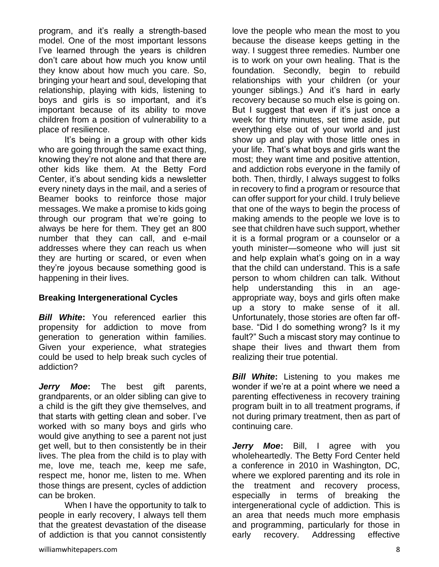program, and it's really a strength-based model. One of the most important lessons I've learned through the years is children don't care about how much you know until they know about how much you care. So, bringing your heart and soul, developing that relationship, playing with kids, listening to boys and girls is so important, and it's important because of its ability to move children from a position of vulnerability to a place of resilience.

It's being in a group with other kids who are going through the same exact thing, knowing they're not alone and that there are other kids like them. At the Betty Ford Center, it's about sending kids a newsletter every ninety days in the mail, and a series of Beamer books to reinforce those major messages. We make a promise to kids going through our program that we're going to always be here for them. They get an 800 number that they can call, and e-mail addresses where they can reach us when they are hurting or scared, or even when they're joyous because something good is happening in their lives.

# **Breaking Intergenerational Cycles**

*Bill White***:** You referenced earlier this propensity for addiction to move from generation to generation within families. Given your experience, what strategies could be used to help break such cycles of addiction?

*Jerry Moe***:** The best gift parents, grandparents, or an older sibling can give to a child is the gift they give themselves, and that starts with getting clean and sober. I've worked with so many boys and girls who would give anything to see a parent not just get well, but to then consistently be in their lives. The plea from the child is to play with me, love me, teach me, keep me safe, respect me, honor me, listen to me. When those things are present, cycles of addiction can be broken.

When I have the opportunity to talk to people in early recovery, I always tell them that the greatest devastation of the disease of addiction is that you cannot consistently love the people who mean the most to you because the disease keeps getting in the way. I suggest three remedies. Number one is to work on your own healing. That is the foundation. Secondly, begin to rebuild relationships with your children (or your younger siblings.) And it's hard in early recovery because so much else is going on. But I suggest that even if it's just once a week for thirty minutes, set time aside, put everything else out of your world and just show up and play with those little ones in your life. That's what boys and girls want the most; they want time and positive attention, and addiction robs everyone in the family of both. Then, thirdly, I always suggest to folks in recovery to find a program or resource that can offer support for your child. I truly believe that one of the ways to begin the process of making amends to the people we love is to see that children have such support, whether it is a formal program or a counselor or a youth minister—someone who will just sit and help explain what's going on in a way that the child can understand. This is a safe person to whom children can talk. Without help understanding this in an ageappropriate way, boys and girls often make up a story to make sense of it all. Unfortunately, those stories are often far offbase. "Did I do something wrong? Is it my fault?" Such a miscast story may continue to shape their lives and thwart them from realizing their true potential.

*Bill White***:** Listening to you makes me wonder if we're at a point where we need a parenting effectiveness in recovery training program built in to all treatment programs, if not during primary treatment, then as part of continuing care.

*Jerry Moe***:** Bill, I agree with you wholeheartedly. The Betty Ford Center held a conference in 2010 in Washington, DC, where we explored parenting and its role in the treatment and recovery process, especially in terms of breaking the intergenerational cycle of addiction. This is an area that needs much more emphasis and programming, particularly for those in early recovery. Addressing effective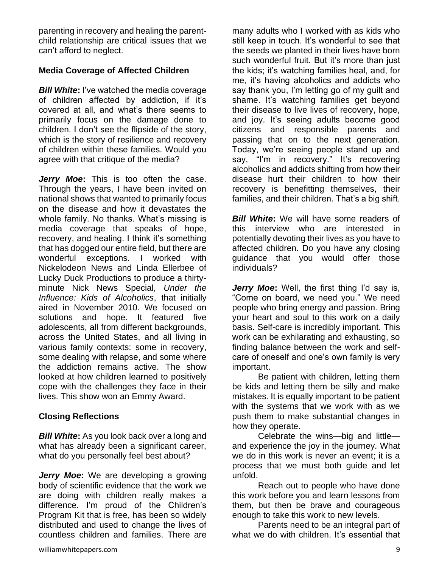parenting in recovery and healing the parentchild relationship are critical issues that we can't afford to neglect.

# **Media Coverage of Affected Children**

*Bill White***:** I've watched the media coverage of children affected by addiction, if it's covered at all, and what's there seems to primarily focus on the damage done to children. I don't see the flipside of the story, which is the story of resilience and recovery of children within these families. Would you agree with that critique of the media?

*Jerry Moe***:** This is too often the case. Through the years, I have been invited on national shows that wanted to primarily focus on the disease and how it devastates the whole family. No thanks. What's missing is media coverage that speaks of hope, recovery, and healing. I think it's something that has dogged our entire field, but there are wonderful exceptions. I worked with Nickelodeon News and Linda Ellerbee of Lucky Duck Productions to produce a thirtyminute Nick News Special, *Under the Influence: Kids of Alcoholics*, that initially aired in November 2010. We focused on solutions and hope. It featured five adolescents, all from different backgrounds, across the United States, and all living in various family contexts: some in recovery, some dealing with relapse, and some where the addiction remains active. The show looked at how children learned to positively cope with the challenges they face in their lives. This show won an Emmy Award.

# **Closing Reflections**

*Bill White***:** As you look back over a long and what has already been a significant career, what do you personally feel best about?

*Jerry Moe***:** We are developing a growing body of scientific evidence that the work we are doing with children really makes a difference. I'm proud of the Children's Program Kit that is free, has been so widely distributed and used to change the lives of countless children and families. There are

many adults who I worked with as kids who still keep in touch. It's wonderful to see that the seeds we planted in their lives have born such wonderful fruit. But it's more than just the kids; it's watching families heal, and, for me, it's having alcoholics and addicts who say thank you, I'm letting go of my guilt and shame. It's watching families get beyond their disease to live lives of recovery, hope, and joy. It's seeing adults become good citizens and responsible parents and passing that on to the next generation. Today, we're seeing people stand up and say, "I'm in recovery." It's recovering alcoholics and addicts shifting from how their disease hurt their children to how their recovery is benefitting themselves, their families, and their children. That's a big shift.

**Bill White:** We will have some readers of this interview who are interested in potentially devoting their lives as you have to affected children. Do you have any closing guidance that you would offer those individuals?

*Jerry Moe***:** Well, the first thing I'd say is, "Come on board, we need you." We need people who bring energy and passion. Bring your heart and soul to this work on a daily basis. Self-care is incredibly important. This work can be exhilarating and exhausting, so finding balance between the work and selfcare of oneself and one's own family is very important.

Be patient with children, letting them be kids and letting them be silly and make mistakes. It is equally important to be patient with the systems that we work with as we push them to make substantial changes in how they operate.

Celebrate the wins—big and little and experience the joy in the journey. What we do in this work is never an event; it is a process that we must both guide and let unfold.

Reach out to people who have done this work before you and learn lessons from them, but then be brave and courageous enough to take this work to new levels.

Parents need to be an integral part of what we do with children. It's essential that